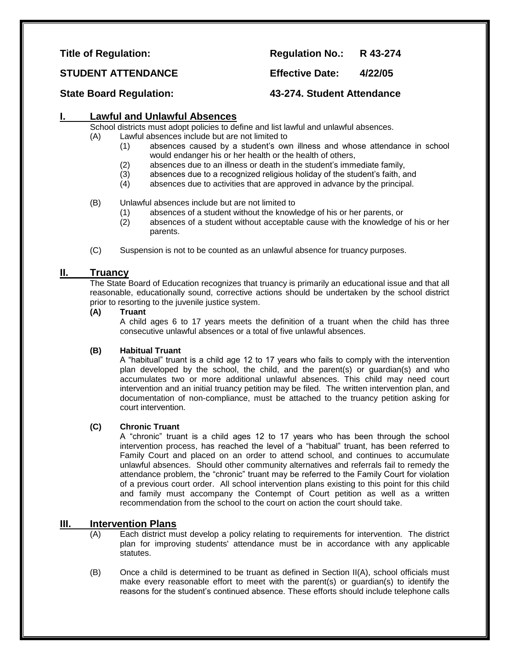**Title of Regulation: Regulation No.: R 43-274** 

**STUDENT ATTENDANCE Effective Date: 4/22/05**

**State Board Regulation: 43-274. Student Attendance**

# **I. Lawful and Unlawful Absences**

School districts must adopt policies to define and list lawful and unlawful absences.

- (A) Lawful absences include but are not limited to
	- (1) absences caused by a student's own illness and whose attendance in school would endanger his or her health or the health of others,
	- (2) absences due to an illness or death in the student's immediate family,
	- (3) absences due to a recognized religious holiday of the student's faith, and (4) absences due to activities that are approved in advance by the principal.
	- absences due to activities that are approved in advance by the principal.

# (B) Unlawful absences include but are not limited to

- (1) absences of a student without the knowledge of his or her parents, or
- (2) absences of a student without acceptable cause with the knowledge of his or her parents.
- (C) Suspension is not to be counted as an unlawful absence for truancy purposes.

# **II. Truancy**

The State Board of Education recognizes that truancy is primarily an educational issue and that all reasonable, educationally sound, corrective actions should be undertaken by the school district prior to resorting to the juvenile justice system.

**(A) Truant**

A child ages 6 to 17 years meets the definition of a truant when the child has three consecutive unlawful absences or a total of five unlawful absences.

# **(B) Habitual Truant**

A "habitual" truant is a child age 12 to 17 years who fails to comply with the intervention plan developed by the school, the child, and the parent(s) or guardian(s) and who accumulates two or more additional unlawful absences. This child may need court intervention and an initial truancy petition may be filed. The written intervention plan, and documentation of non-compliance, must be attached to the truancy petition asking for court intervention.

# **(C) Chronic Truant**

A "chronic" truant is a child ages 12 to 17 years who has been through the school intervention process, has reached the level of a "habitual" truant, has been referred to Family Court and placed on an order to attend school, and continues to accumulate unlawful absences. Should other community alternatives and referrals fail to remedy the attendance problem, the "chronic" truant may be referred to the Family Court for violation of a previous court order. All school intervention plans existing to this point for this child and family must accompany the Contempt of Court petition as well as a written recommendation from the school to the court on action the court should take.

# **III. Intervention Plans**

- (A) Each district must develop a policy relating to requirements for intervention. The district plan for improving students' attendance must be in accordance with any applicable statutes.
- (B) Once a child is determined to be truant as defined in Section II(A), school officials must make every reasonable effort to meet with the parent(s) or guardian(s) to identify the reasons for the student's continued absence. These efforts should include telephone calls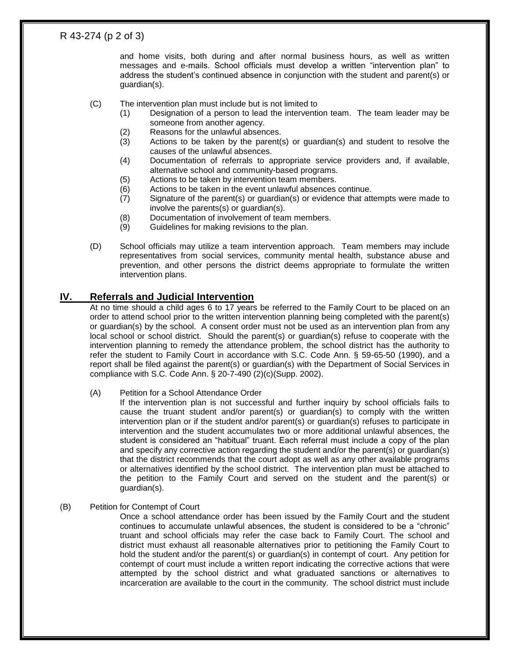# R 43-274 (p 2 of 3)

and home visits, both during and after normal business hours, as well as written messages and e-mails. School officials must develop a written "intervention plan" to address the student's continued absence in conjunction with the student and parent(s) or guardian(s).

- (C) The intervention plan must include but is not limited to
	- (1) Designation of a person to lead the intervention team. The team leader may be someone from another agency.
	- (2) Reasons for the unlawful absences.
	- (3) Actions to be taken by the parent(s) or guardian(s) and student to resolve the causes of the unlawful absences.
	- (4) Documentation of referrals to appropriate service providers and, if available, alternative school and community-based programs.
	- (5) Actions to be taken by intervention team members.
	- (6) Actions to be taken in the event unlawful absences continue.
	- (7) Signature of the parent(s) or guardian(s) or evidence that attempts were made to involve the parents(s) or guardian(s).
	- (8) Documentation of involvement of team members.<br>(9) Guidelines for making revisions to the plan.
	- Guidelines for making revisions to the plan.
- (D) School officials may utilize a team intervention approach. Team members may include representatives from social services, community mental health, substance abuse and prevention, and other persons the district deems appropriate to formulate the written intervention plans.

# **IV. Referrals and Judicial Intervention**

At no time should a child ages 6 to 17 years be referred to the Family Court to be placed on an order to attend school prior to the written intervention planning being completed with the parent(s) or guardian(s) by the school. A consent order must not be used as an intervention plan from any local school or school district. Should the parent(s) or guardian(s) refuse to cooperate with the intervention planning to remedy the attendance problem, the school district has the authority to refer the student to Family Court in accordance with S.C. Code Ann. § 59-65-50 (1990), and a report shall be filed against the parent(s) or guardian(s) with the Department of Social Services in compliance with S.C. Code Ann. § 20-7-490 (2)(c)(Supp. 2002).

### (A) Petition for a School Attendance Order

If the intervention plan is not successful and further inquiry by school officials fails to cause the truant student and/or parent(s) or guardian(s) to comply with the written intervention plan or if the student and/or parent(s) or guardian(s) refuses to participate in intervention and the student accumulates two or more additional unlawful absences, the student is considered an "habitual" truant. Each referral must include a copy of the plan and specify any corrective action regarding the student and/or the parent(s) or guardian(s) that the district recommends that the court adopt as well as any other available programs or alternatives identified by the school district. The intervention plan must be attached to the petition to the Family Court and served on the student and the parent(s) or guardian(s).

### (B) Petition for Contempt of Court

Once a school attendance order has been issued by the Family Court and the student continues to accumulate unlawful absences, the student is considered to be a "chronic" truant and school officials may refer the case back to Family Court. The school and district must exhaust all reasonable alternatives prior to petitioning the Family Court to hold the student and/or the parent(s) or guardian(s) in contempt of court. Any petition for contempt of court must include a written report indicating the corrective actions that were attempted by the school district and what graduated sanctions or alternatives to incarceration are available to the court in the community. The school district must include